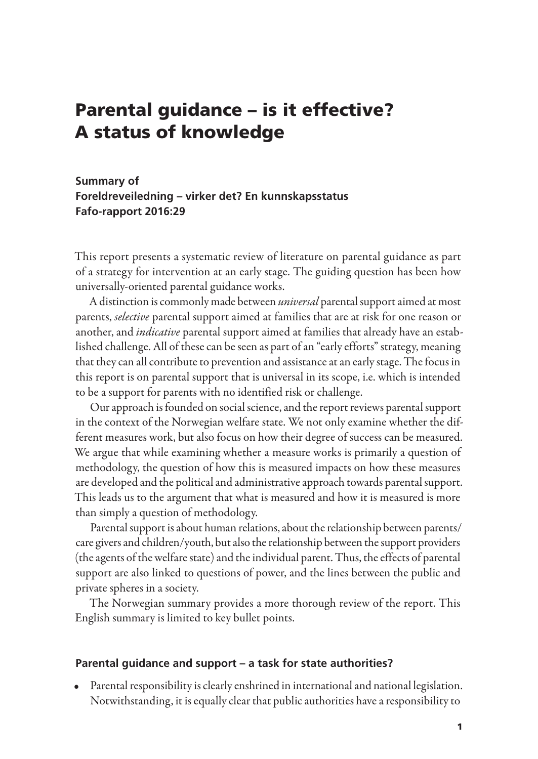# Parental guidance – is it effective? A status of knowledge

### **Summary of Foreldreveiledning – virker det? En kunnskapsstatus Fafo-rapport 2016:29**

This report presents a systematic review of literature on parental guidance as part of a strategy for intervention at an early stage. The guiding question has been how universally-oriented parental guidance works.

A distinction is commonly made between *universal* parental support aimed at most parents, *selective* parental support aimed at families that are at risk for one reason or another, and *indicative* parental support aimed at families that already have an established challenge. All of these can be seen as part of an "early efforts" strategy, meaning that they can all contribute to prevention and assistance at an early stage. The focus in this report is on parental support that is universal in its scope, i.e. which is intended to be a support for parents with no identified risk or challenge.

Our approach is founded on social science, and the report reviews parental support in the context of the Norwegian welfare state. We not only examine whether the different measures work, but also focus on how their degree of success can be measured. We argue that while examining whether a measure works is primarily a question of methodology, the question of how this is measured impacts on how these measures are developed and the political and administrative approach towards parental support. This leads us to the argument that what is measured and how it is measured is more than simply a question of methodology.

Parental support is about human relations, about the relationship between parents/ care givers and children/youth, but also the relationship between the support providers (the agents of the welfare state) and the individual parent. Thus, the effects of parental support are also linked to questions of power, and the lines between the public and private spheres in a society.

The Norwegian summary provides a more thorough review of the report. This English summary is limited to key bullet points.

#### **Parental guidance and support – a task for state authorities?**

• Parental responsibility is clearly enshrined in international and national legislation. Notwithstanding, it is equally clear that public authorities have a responsibility to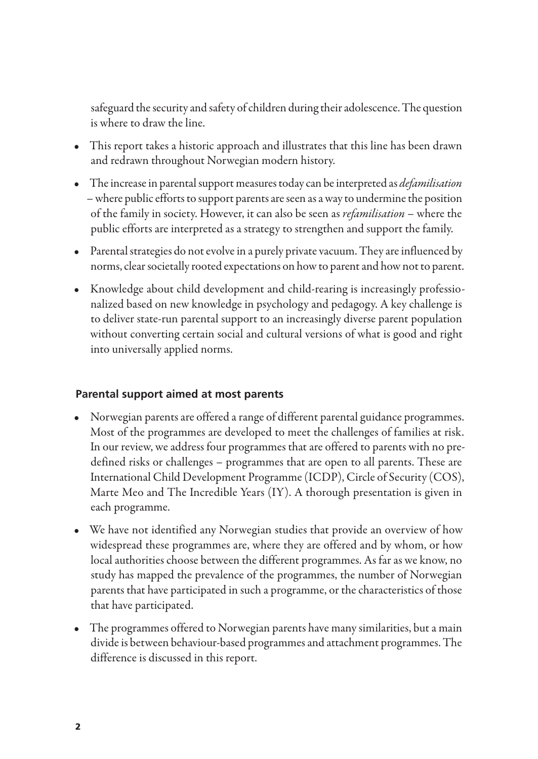safeguard the security and safety of children during their adolescence. The question is where to draw the line.

- This report takes a historic approach and illustrates that this line has been drawn and redrawn throughout Norwegian modern history.
- The increase in parental support measures today can be interpreted as *defamilisation* – where public efforts to support parents are seen as a way to undermine the position of the family in society. However, it can also be seen as *refamilisation* – where the public efforts are interpreted as a strategy to strengthen and support the family.
- Parental strategies do not evolve in a purely private vacuum. They are influenced by norms, clear societally rooted expectations on how to parent and how not to parent.
- Knowledge about child development and child-rearing is increasingly professionalized based on new knowledge in psychology and pedagogy. A key challenge is to deliver state-run parental support to an increasingly diverse parent population without converting certain social and cultural versions of what is good and right into universally applied norms.

#### **Parental support aimed at most parents**

- Norwegian parents are offered a range of different parental guidance programmes. Most of the programmes are developed to meet the challenges of families at risk. In our review, we address four programmes that are offered to parents with no predefined risks or challenges – programmes that are open to all parents. These are International Child Development Programme (ICDP), Circle of Security (COS), Marte Meo and The Incredible Years (IY). A thorough presentation is given in each programme.
- We have not identified any Norwegian studies that provide an overview of how widespread these programmes are, where they are offered and by whom, or how local authorities choose between the different programmes. As far as we know, no study has mapped the prevalence of the programmes, the number of Norwegian parents that have participated in such a programme, or the characteristics of those that have participated.
- The programmes offered to Norwegian parents have many similarities, but a main divide is between behaviour-based programmes and attachment programmes. The difference is discussed in this report.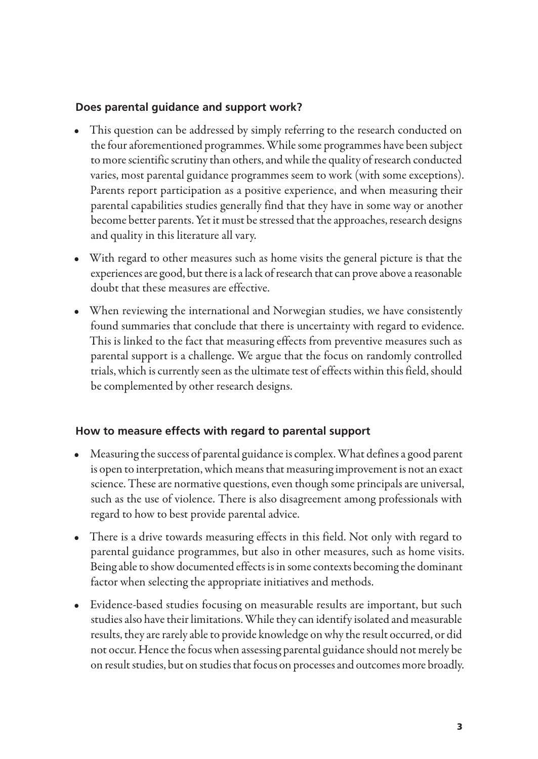### **Does parental guidance and support work?**

- This question can be addressed by simply referring to the research conducted on the four aforementioned programmes. While some programmes have been subject to more scientific scrutiny than others, and while the quality of research conducted varies, most parental guidance programmes seem to work (with some exceptions). Parents report participation as a positive experience, and when measuring their parental capabilities studies generally find that they have in some way or another become better parents. Yet it must be stressed that the approaches, research designs and quality in this literature all vary.
- With regard to other measures such as home visits the general picture is that the experiences are good, but there is a lack of research that can prove above a reasonable doubt that these measures are effective.
- When reviewing the international and Norwegian studies, we have consistently found summaries that conclude that there is uncertainty with regard to evidence. This is linked to the fact that measuring effects from preventive measures such as parental support is a challenge. We argue that the focus on randomly controlled trials, which is currently seen as the ultimate test of effects within this field, should be complemented by other research designs.

## **How to measure effects with regard to parental support**

- Measuring the success of parental guidance is complex. What defines a good parent is open to interpretation, which means that measuring improvement is not an exact science. These are normative questions, even though some principals are universal, such as the use of violence. There is also disagreement among professionals with regard to how to best provide parental advice.
- There is a drive towards measuring effects in this field. Not only with regard to parental guidance programmes, but also in other measures, such as home visits. Being able to show documented effects is in some contexts becoming the dominant factor when selecting the appropriate initiatives and methods.
- Evidence-based studies focusing on measurable results are important, but such studies also have their limitations. While they can identify isolated and measurable results, they are rarely able to provide knowledge on why the result occurred, or did not occur. Hence the focus when assessing parental guidance should not merely be on result studies, but on studies that focus on processes and outcomes more broadly.